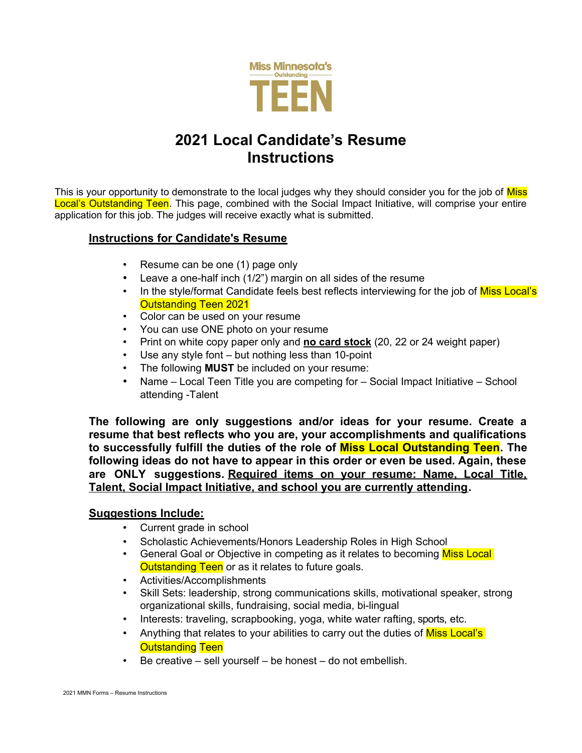

### **2021 Local Candidate's Resume Instructions**

This is your opportunity to demonstrate to the local judges why they should consider you for the job of Miss Local's Outstanding Teen. This page, combined with the Social Impact Initiative, will comprise your entire application for this job. The judges will receive exactly what is submitted.

#### **Instructions for Candidate's Resume**

- Resume can be one (1) page only
- Leave a one-half inch (1/2") margin on all sides of the resume
- In the style/format Candidate feels best reflects interviewing for the job of Miss Local's Outstanding Teen 2021
- Color can be used on your resume
- You can use ONE photo on your resume
- Print on white copy paper only and **no card stock** (20, 22 or 24 weight paper)
- Use any style font  $-$  but nothing less than 10-point
- The following **MUST** be included on your resume:
- Name Local Teen Title you are competing for Social Impact Initiative School attending -Talent

**The following are only suggestions and/or ideas for your resume. Create a resume that best reflects who you are, your accomplishments and qualifications to successfully fulfill the duties of the role of Miss Local Outstanding Teen. The following ideas do not have to appear in this order or even be used. Again, these are ONLY suggestions. Required items on your resume: Name, Local Title, Talent, Social Impact Initiative, and school you are currently attending.**

#### **Suggestions Include:**

- Current grade in school
- Scholastic Achievements/Honors Leadership Roles in High School
- General Goal or Objective in competing as it relates to becoming Miss Local **Outstanding Teen** or as it relates to future goals.
- Activities/Accomplishments
- Skill Sets: leadership, strong communications skills, motivational speaker, strong organizational skills, fundraising, social media, bi-lingual
- Interests: traveling, scrapbooking, yoga, white water rafting, sports, etc.
- Anything that relates to your abilities to carry out the duties of Miss Local's **Outstanding Teen**
- Be creative sell yourself be honest do not embellish.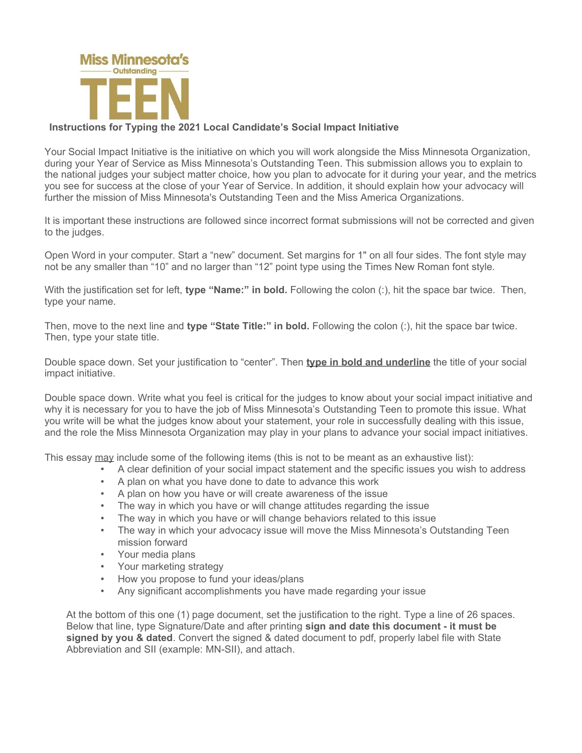

#### **Instructions for Typing the 2021 Local Candidate's Social Impact Initiative**

Your Social Impact Initiative is the initiative on which you will work alongside the Miss Minnesota Organization, during your Year of Service as Miss Minnesota's Outstanding Teen. This submission allows you to explain to the national judges your subject matter choice, how you plan to advocate for it during your year, and the metrics you see for success at the close of your Year of Service. In addition, it should explain how your advocacy will further the mission of Miss Minnesota's Outstanding Teen and the Miss America Organizations.

It is important these instructions are followed since incorrect format submissions will not be corrected and given to the judges.

Open Word in your computer. Start a "new" document. Set margins for 1" on all four sides. The font style may not be any smaller than "10" and no larger than "12" point type using the Times New Roman font style.

With the justification set for left, **type "Name:" in bold.** Following the colon (:), hit the space bar twice. Then, type your name.

Then, move to the next line and **type "State Title:" in bold.** Following the colon (:), hit the space bar twice. Then, type your state title.

Double space down. Set your justification to "center". Then **type in bold and underline** the title of your social impact initiative.

Double space down. Write what you feel is critical for the judges to know about your social impact initiative and why it is necessary for you to have the job of Miss Minnesota's Outstanding Teen to promote this issue. What you write will be what the judges know about your statement, your role in successfully dealing with this issue, and the role the Miss Minnesota Organization may play in your plans to advance your social impact initiatives.

This essay may include some of the following items (this is not to be meant as an exhaustive list):

- A clear definition of your social impact statement and the specific issues you wish to address
- A plan on what you have done to date to advance this work
- A plan on how you have or will create awareness of the issue
- The way in which you have or will change attitudes regarding the issue
- The way in which you have or will change behaviors related to this issue
- The way in which your advocacy issue will move the Miss Minnesota's Outstanding Teen mission forward
- Your media plans
- Your marketing strategy
- How you propose to fund your ideas/plans
- Any significant accomplishments you have made regarding your issue

At the bottom of this one (1) page document, set the justification to the right. Type a line of 26 spaces. Below that line, type Signature/Date and after printing **sign and date this document - it must be signed by you & dated**. Convert the signed & dated document to pdf, properly label file with State Abbreviation and SII (example: MN-SII), and attach.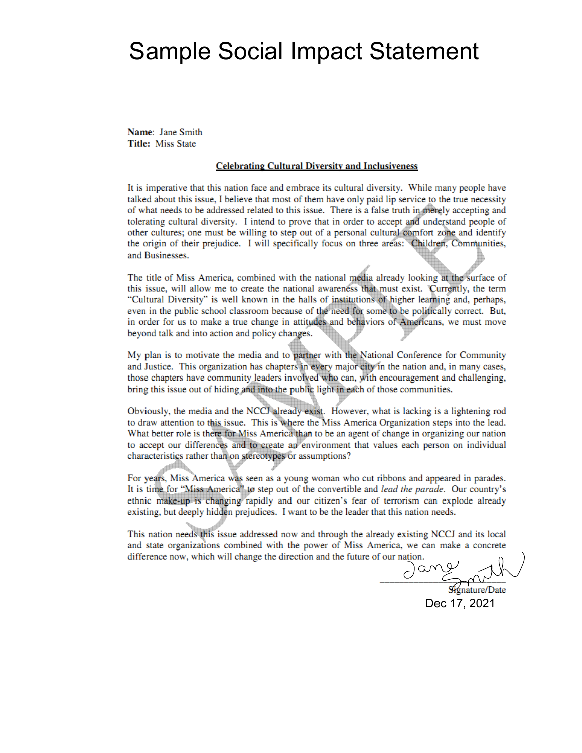### Sample Social Impact Statement

Name: Jane Smith Title: Miss State

#### **Celebrating Cultural Diversity and Inclusiveness**

It is imperative that this nation face and embrace its cultural diversity. While many people have talked about this issue, I believe that most of them have only paid lip service to the true necessity of what needs to be addressed related to this issue. There is a false truth in merely accepting and tolerating cultural diversity. I intend to prove that in order to accept and understand people of other cultures; one must be willing to step out of a personal cultural comfort zone and identify the origin of their prejudice. I will specifically focus on three areas: Children, Communities, and Businesses.

The title of Miss America, combined with the national media already looking at the surface of this issue, will allow me to create the national awareness that must exist. Currently, the term "Cultural Diversity" is well known in the halls of institutions of higher learning and, perhaps, even in the public school classroom because of the need for some to be politically correct. But, in order for us to make a true change in attitudes and behaviors of Americans, we must move beyond talk and into action and policy changes.

My plan is to motivate the media and to partner with the National Conference for Community and Justice. This organization has chapters in every major city in the nation and, in many cases, those chapters have community leaders involved who can, with encouragement and challenging, bring this issue out of hiding and into the public light in each of those communities.

Obviously, the media and the NCCJ already exist. However, what is lacking is a lightening rod to draw attention to this issue. This is where the Miss America Organization steps into the lead. What better role is there for Miss America than to be an agent of change in organizing our nation to accept our differences and to create an environment that values each person on individual characteristics rather than on stereotypes or assumptions?

For years, Miss America was seen as a young woman who cut ribbons and appeared in parades. It is time for "Miss America" to step out of the convertible and *lead the parade*. Our country's ethnic make-up is changing rapidly and our citizen's fear of terrorism can explode already existing, but deeply hidden prejudices. I want to be the leader that this nation needs.

This nation needs this issue addressed now and through the already existing NCCJ and its local and state organizations combined with the power of Miss America, we can make a concrete difference now, which will change the direction and the future of our nation.

Dec 17, 2021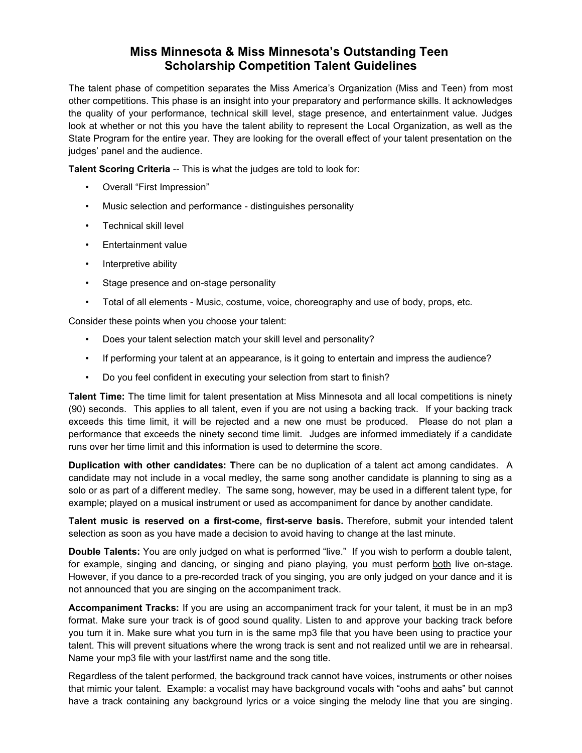#### **Miss Minnesota & Miss Minnesota's Outstanding Teen Scholarship Competition Talent Guidelines**

The talent phase of competition separates the Miss America's Organization (Miss and Teen) from most other competitions. This phase is an insight into your preparatory and performance skills. It acknowledges the quality of your performance, technical skill level, stage presence, and entertainment value. Judges look at whether or not this you have the talent ability to represent the Local Organization, as well as the State Program for the entire year. They are looking for the overall effect of your talent presentation on the judges' panel and the audience.

**Talent Scoring Criteria** -- This is what the judges are told to look for:

- Overall "First Impression"
- Music selection and performance distinguishes personality
- Technical skill level
- Entertainment value
- Interpretive ability
- Stage presence and on-stage personality
- Total of all elements Music, costume, voice, choreography and use of body, props, etc.

Consider these points when you choose your talent:

- Does your talent selection match your skill level and personality?
- If performing your talent at an appearance, is it going to entertain and impress the audience?
- Do you feel confident in executing your selection from start to finish?

**Talent Time:** The time limit for talent presentation at Miss Minnesota and all local competitions is ninety (90) seconds. This applies to all talent, even if you are not using a backing track. If your backing track exceeds this time limit, it will be rejected and a new one must be produced. Please do not plan a performance that exceeds the ninety second time limit. Judges are informed immediately if a candidate runs over her time limit and this information is used to determine the score.

**Duplication with other candidates: T**here can be no duplication of a talent act among candidates. A candidate may not include in a vocal medley, the same song another candidate is planning to sing as a solo or as part of a different medley. The same song, however, may be used in a different talent type, for example; played on a musical instrument or used as accompaniment for dance by another candidate.

**Talent music is reserved on a first-come, first-serve basis.** Therefore, submit your intended talent selection as soon as you have made a decision to avoid having to change at the last minute.

**Double Talents:** You are only judged on what is performed "live." If you wish to perform a double talent, for example, singing and dancing, or singing and piano playing, you must perform both live on-stage. However, if you dance to a pre-recorded track of you singing, you are only judged on your dance and it is not announced that you are singing on the accompaniment track.

**Accompaniment Tracks:** If you are using an accompaniment track for your talent, it must be in an mp3 format. Make sure your track is of good sound quality. Listen to and approve your backing track before you turn it in. Make sure what you turn in is the same mp3 file that you have been using to practice your talent. This will prevent situations where the wrong track is sent and not realized until we are in rehearsal. Name your mp3 file with your last/first name and the song title.

Regardless of the talent performed, the background track cannot have voices, instruments or other noises that mimic your talent. Example: a vocalist may have background vocals with "oohs and aahs" but cannot have a track containing any background lyrics or a voice singing the melody line that you are singing.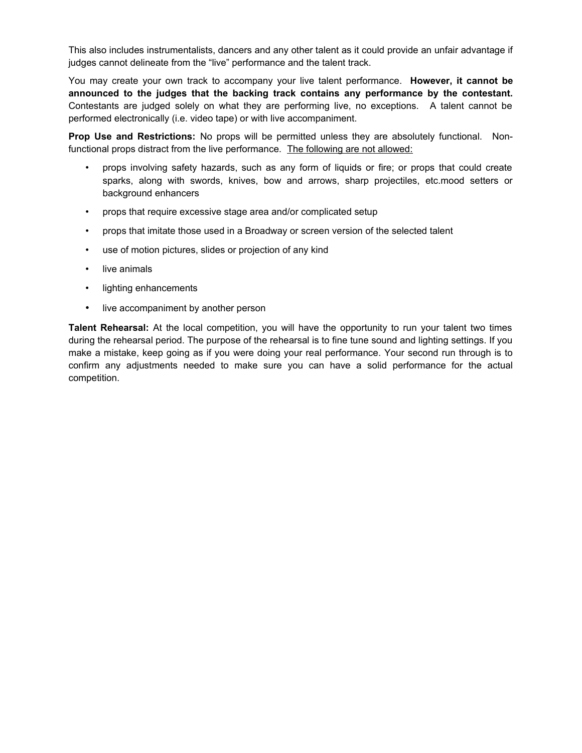This also includes instrumentalists, dancers and any other talent as it could provide an unfair advantage if judges cannot delineate from the "live" performance and the talent track.

You may create your own track to accompany your live talent performance. **However, it cannot be announced to the judges that the backing track contains any performance by the contestant.** Contestants are judged solely on what they are performing live, no exceptions. A talent cannot be performed electronically (i.e. video tape) or with live accompaniment.

**Prop Use and Restrictions:** No props will be permitted unless they are absolutely functional. Nonfunctional props distract from the live performance. The following are not allowed:

- props involving safety hazards, such as any form of liquids or fire; or props that could create sparks, along with swords, knives, bow and arrows, sharp projectiles, etc.mood setters or background enhancers
- props that require excessive stage area and/or complicated setup
- props that imitate those used in a Broadway or screen version of the selected talent
- use of motion pictures, slides or projection of any kind
- live animals
- lighting enhancements
- live accompaniment by another person

**Talent Rehearsal:** At the local competition, you will have the opportunity to run your talent two times during the rehearsal period. The purpose of the rehearsal is to fine tune sound and lighting settings. If you make a mistake, keep going as if you were doing your real performance. Your second run through is to confirm any adjustments needed to make sure you can have a solid performance for the actual competition.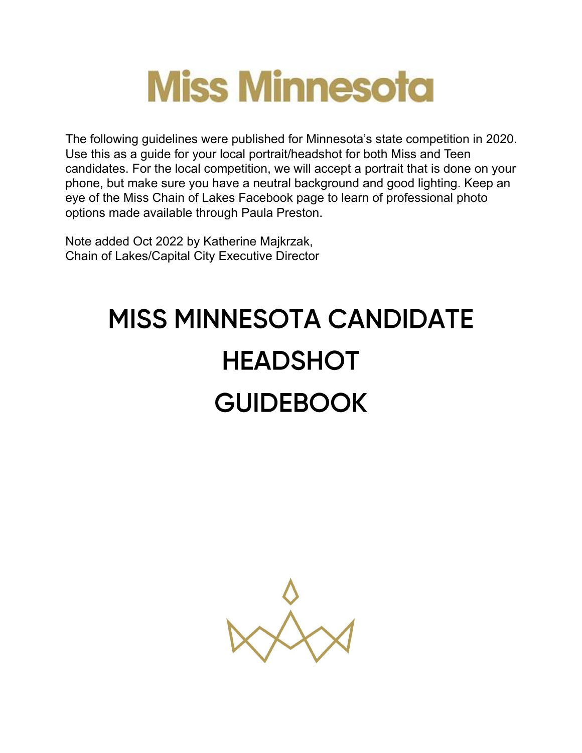

The following guidelines were published for Minnesota's state competition in 2020. Use this as a guide for your local portrait/headshot for both Miss and Teen candidates. For the local competition, we will accept a portrait that is done on your phone, but make sure you have a neutral background and good lighting. Keep an eye of the Miss Chain of Lakes Facebook page to learn of professional photo options made available through Paula Preston.

Note added Oct 2022 by Katherine Majkrzak, Chain of Lakes/Capital City Executive Director

# **MISS MINNESOTA CANDIDATE HEADSHOT GUIDEBOOK**

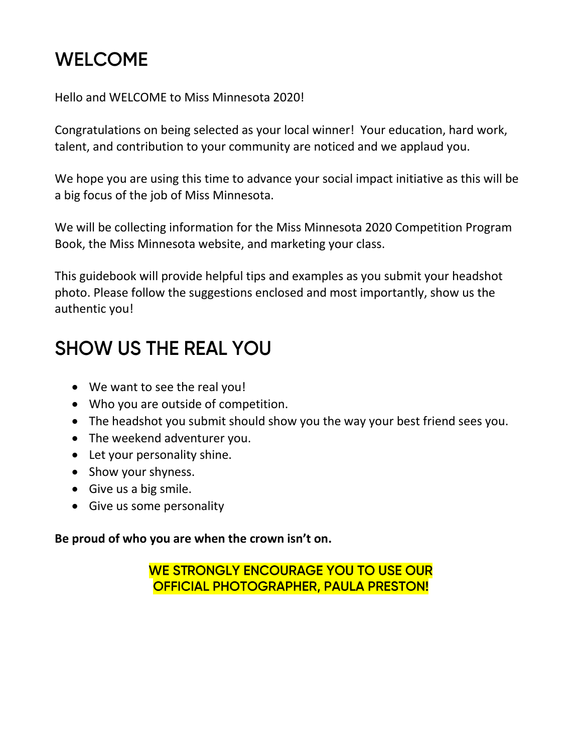### **WELCOME**

Hello and WELCOME to Miss Minnesota 2020!

Congratulations on being selected as your local winner! Your education, hard work, talent, and contribution to your community are noticed and we applaud you.

We hope you are using this time to advance your social impact initiative as this will be a big focus of the job of Miss Minnesota.

We will be collecting information for the Miss Minnesota 2020 Competition Program Book, the Miss Minnesota website, and marketing your class.

This guidebook will provide helpful tips and examples as you submit your headshot photo. Please follow the suggestions enclosed and most importantly, show us the authentic you!

### **SHOW US THE REAL YOU**

- We want to see the real you!
- Who you are outside of competition.
- The headshot you submit should show you the way your best friend sees you.
- The weekend adventurer you.
- $\bullet$  Let your personality shine.
- Show your shyness.
- $\bullet$  Give us a big smile.
- Give us some personality

#### Be proud of who you are when the crown isn't on.

**WE STRONGLY ENCOURAGE YOU TO USE OUR OFFICIAL PHOTOGRAPHER, PAULA PRESTON!**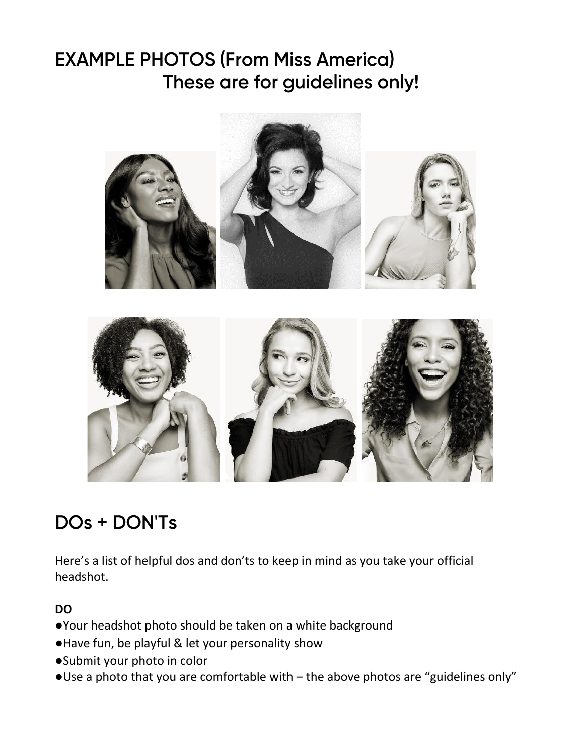### **EXAMPLE PHOTOS (From Miss America)** These are for guidelines only!



### DOs + DON'Ts

Here's a list of helpful dos and don'ts to keep in mind as you take your official headshot.

### **DO**

- භYour headshot photo should be taken on a white background
- Have fun, be playful & let your personality show
- භSubmit your photo in color
- Use a photo that you are comfortable with the above photos are "guidelines only"